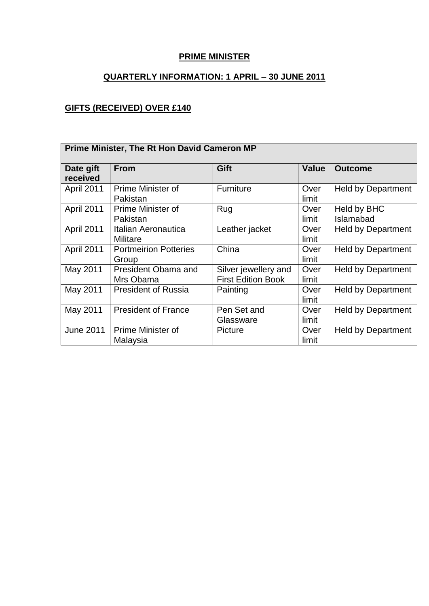### **PRIME MINISTER**

## **QUARTERLY INFORMATION: 1 APRIL – 30 JUNE 2011**

### **GIFTS (RECEIVED) OVER £140**

| <b>Prime Minister, The Rt Hon David Cameron MP</b> |                                       |                                                   |               |                           |
|----------------------------------------------------|---------------------------------------|---------------------------------------------------|---------------|---------------------------|
| Date gift<br>received                              | <b>From</b>                           | Gift                                              | Value         | <b>Outcome</b>            |
| April 2011                                         | Prime Minister of<br>Pakistan         | Furniture                                         | Over<br>limit | <b>Held by Department</b> |
| April 2011                                         | Prime Minister of<br>Pakistan         | Rug                                               | Over<br>limit | Held by BHC<br>Islamabad  |
| April 2011                                         | Italian Aeronautica<br>Militare       | Leather jacket                                    | Over<br>limit | <b>Held by Department</b> |
| April 2011                                         | <b>Portmeirion Potteries</b><br>Group | China                                             | Over<br>limit | <b>Held by Department</b> |
| May 2011                                           | President Obama and<br>Mrs Obama      | Silver jewellery and<br><b>First Edition Book</b> | Over<br>limit | <b>Held by Department</b> |
| May 2011                                           | <b>President of Russia</b>            | Painting                                          | Over<br>limit | <b>Held by Department</b> |
| May 2011                                           | <b>President of France</b>            | Pen Set and<br>Glassware                          | Over<br>limit | <b>Held by Department</b> |
| <b>June 2011</b>                                   | Prime Minister of<br>Malaysia         | <b>Picture</b>                                    | Over<br>limit | <b>Held by Department</b> |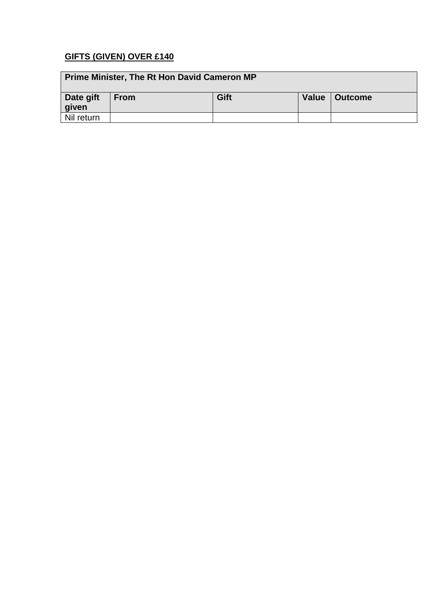## **GIFTS (GIVEN) OVER £140**

| <b>Prime Minister, The Rt Hon David Cameron MP</b> |             |      |       |         |
|----------------------------------------------------|-------------|------|-------|---------|
| Date gift<br>given                                 | <b>From</b> | Gift | Value | Outcome |
| Nil return                                         |             |      |       |         |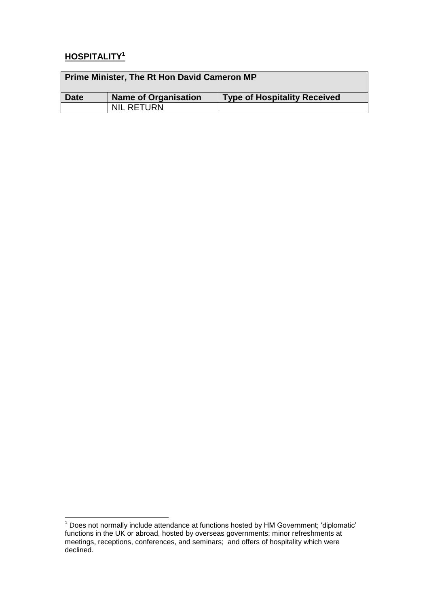# **HOSPITALITY<sup>1</sup>**

| Prime Minister, The Rt Hon David Cameron MP |                      |                                     |  |
|---------------------------------------------|----------------------|-------------------------------------|--|
| Date                                        | Name of Organisation | <b>Type of Hospitality Received</b> |  |
|                                             | <b>NIL RETURN</b>    |                                     |  |

<sup>1</sup>  $1$  Does not normally include attendance at functions hosted by HM Government; 'diplomatic' functions in the UK or abroad, hosted by overseas governments; minor refreshments at meetings, receptions, conferences, and seminars; and offers of hospitality which were declined.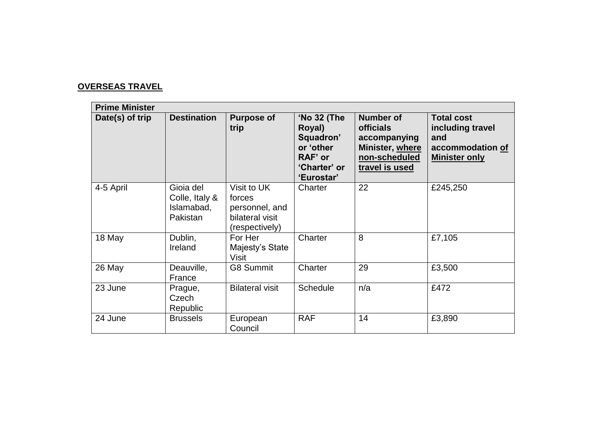### **OVERSEAS TRAVEL**

| <b>Prime Minister</b> |                                                       |                                                                              |                                                                                          |                                                                                                            |                                                                                          |
|-----------------------|-------------------------------------------------------|------------------------------------------------------------------------------|------------------------------------------------------------------------------------------|------------------------------------------------------------------------------------------------------------|------------------------------------------------------------------------------------------|
| Date(s) of trip       | <b>Destination</b>                                    | <b>Purpose of</b><br>trip                                                    | 'No 32 (The<br>Royal)<br>Squadron'<br>or 'other<br>RAF' or<br>'Charter' or<br>'Eurostar' | <b>Number of</b><br><b>officials</b><br>accompanying<br>Minister, where<br>non-scheduled<br>travel is used | <b>Total cost</b><br>including travel<br>and<br>accommodation of<br><b>Minister only</b> |
| 4-5 April             | Gioia del<br>Colle, Italy &<br>Islamabad,<br>Pakistan | Visit to UK<br>forces<br>personnel, and<br>bilateral visit<br>(respectively) | Charter                                                                                  | 22                                                                                                         | £245,250                                                                                 |
| 18 May                | Dublin,<br>Ireland                                    | For Her<br>Majesty's State<br>Visit                                          | Charter                                                                                  | 8                                                                                                          | £7,105                                                                                   |
| 26 May                | Deauville,<br>France                                  | <b>G8 Summit</b>                                                             | Charter                                                                                  | 29                                                                                                         | £3,500                                                                                   |
| 23 June               | Prague,<br>Czech<br>Republic                          | <b>Bilateral visit</b>                                                       | <b>Schedule</b>                                                                          | n/a                                                                                                        | £472                                                                                     |
| 24 June               | <b>Brussels</b>                                       | European<br>Council                                                          | <b>RAF</b>                                                                               | 14                                                                                                         | £3,890                                                                                   |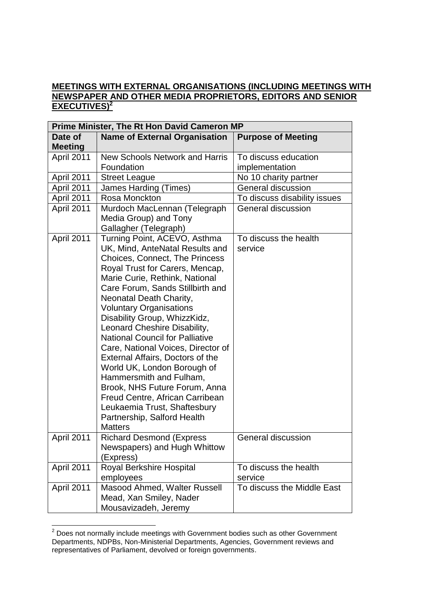#### **MEETINGS WITH EXTERNAL ORGANISATIONS (INCLUDING MEETINGS WITH NEWSPAPER AND OTHER MEDIA PROPRIETORS, EDITORS AND SENIOR EXECUTIVES)<sup>2</sup>**

| Prime Minister, The Rt Hon David Cameron MP |                                                                                                                                                                                                                                                                                                                                                                                                                                                                                                                                                                                                                                                                                   |                                        |  |  |
|---------------------------------------------|-----------------------------------------------------------------------------------------------------------------------------------------------------------------------------------------------------------------------------------------------------------------------------------------------------------------------------------------------------------------------------------------------------------------------------------------------------------------------------------------------------------------------------------------------------------------------------------------------------------------------------------------------------------------------------------|----------------------------------------|--|--|
| Date of<br><b>Meeting</b>                   | <b>Name of External Organisation</b>                                                                                                                                                                                                                                                                                                                                                                                                                                                                                                                                                                                                                                              | <b>Purpose of Meeting</b>              |  |  |
| April 2011                                  | <b>New Schools Network and Harris</b><br>Foundation                                                                                                                                                                                                                                                                                                                                                                                                                                                                                                                                                                                                                               | To discuss education<br>implementation |  |  |
| April 2011                                  | <b>Street League</b>                                                                                                                                                                                                                                                                                                                                                                                                                                                                                                                                                                                                                                                              | No 10 charity partner                  |  |  |
| April 2011                                  | <b>James Harding (Times)</b>                                                                                                                                                                                                                                                                                                                                                                                                                                                                                                                                                                                                                                                      | <b>General discussion</b>              |  |  |
| April 2011                                  | Rosa Monckton                                                                                                                                                                                                                                                                                                                                                                                                                                                                                                                                                                                                                                                                     | To discuss disability issues           |  |  |
| April 2011                                  | Murdoch MacLennan (Telegraph<br>Media Group) and Tony<br>Gallagher (Telegraph)                                                                                                                                                                                                                                                                                                                                                                                                                                                                                                                                                                                                    | General discussion                     |  |  |
| April 2011                                  | Turning Point, ACEVO, Asthma<br>UK, Mind, AnteNatal Results and<br><b>Choices, Connect, The Princess</b><br>Royal Trust for Carers, Mencap,<br>Marie Curie, Rethink, National<br>Care Forum, Sands Stillbirth and<br>Neonatal Death Charity,<br><b>Voluntary Organisations</b><br>Disability Group, WhizzKidz,<br>Leonard Cheshire Disability,<br><b>National Council for Palliative</b><br>Care, National Voices, Director of<br>External Affairs, Doctors of the<br>World UK, London Borough of<br>Hammersmith and Fulham,<br>Brook, NHS Future Forum, Anna<br>Freud Centre, African Carribean<br>Leukaemia Trust, Shaftesbury<br>Partnership, Salford Health<br><b>Matters</b> | To discuss the health<br>service       |  |  |
| April 2011                                  | <b>Richard Desmond (Express</b><br>Newspapers) and Hugh Whittow<br>(Express)                                                                                                                                                                                                                                                                                                                                                                                                                                                                                                                                                                                                      | General discussion                     |  |  |
| April 2011                                  | Royal Berkshire Hospital<br>employees                                                                                                                                                                                                                                                                                                                                                                                                                                                                                                                                                                                                                                             | To discuss the health<br>service       |  |  |
| April 2011                                  | Masood Ahmed, Walter Russell<br>Mead, Xan Smiley, Nader<br>Mousavizadeh, Jeremy                                                                                                                                                                                                                                                                                                                                                                                                                                                                                                                                                                                                   | To discuss the Middle East             |  |  |

<sup>1</sup>  $2$  Does not normally include meetings with Government bodies such as other Government Departments, NDPBs, Non-Ministerial Departments, Agencies, Government reviews and representatives of Parliament, devolved or foreign governments.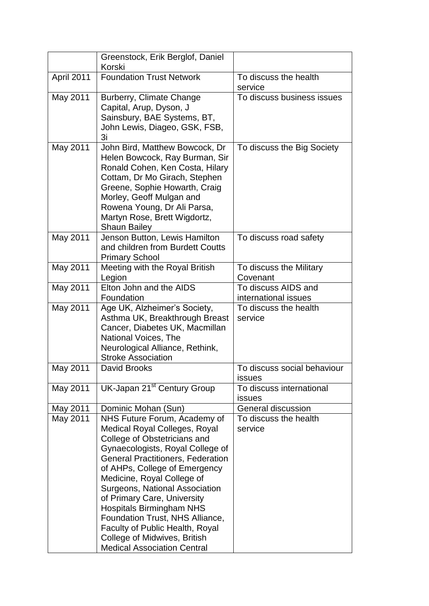|            | Greenstock, Erik Berglof, Daniel<br>Korski                                                                                                                                                                                                                                                                                                                                                                                                                                                          |                                              |
|------------|-----------------------------------------------------------------------------------------------------------------------------------------------------------------------------------------------------------------------------------------------------------------------------------------------------------------------------------------------------------------------------------------------------------------------------------------------------------------------------------------------------|----------------------------------------------|
| April 2011 | <b>Foundation Trust Network</b>                                                                                                                                                                                                                                                                                                                                                                                                                                                                     | To discuss the health<br>service             |
| May 2011   | Burberry, Climate Change<br>Capital, Arup, Dyson, J<br>Sainsbury, BAE Systems, BT,<br>John Lewis, Diageo, GSK, FSB,<br>3i                                                                                                                                                                                                                                                                                                                                                                           | To discuss business issues                   |
| May 2011   | John Bird, Matthew Bowcock, Dr<br>Helen Bowcock, Ray Burman, Sir<br>Ronald Cohen, Ken Costa, Hilary<br>Cottam, Dr Mo Girach, Stephen<br>Greene, Sophie Howarth, Craig<br>Morley, Geoff Mulgan and<br>Rowena Young, Dr Ali Parsa,<br>Martyn Rose, Brett Wigdortz,<br><b>Shaun Bailey</b>                                                                                                                                                                                                             | To discuss the Big Society                   |
| May 2011   | Jenson Button, Lewis Hamilton<br>and children from Burdett Coutts<br><b>Primary School</b>                                                                                                                                                                                                                                                                                                                                                                                                          | To discuss road safety                       |
| May 2011   | Meeting with the Royal British<br>Legion                                                                                                                                                                                                                                                                                                                                                                                                                                                            | To discuss the Military<br>Covenant          |
| May 2011   | Elton John and the AIDS<br>Foundation                                                                                                                                                                                                                                                                                                                                                                                                                                                               | To discuss AIDS and<br>international issues  |
| May 2011   | Age UK, Alzheimer's Society,<br>Asthma UK, Breakthrough Breast<br>Cancer, Diabetes UK, Macmillan<br>National Voices, The<br>Neurological Alliance, Rethink,<br><b>Stroke Association</b>                                                                                                                                                                                                                                                                                                            | To discuss the health<br>service             |
| May 2011   | <b>David Brooks</b>                                                                                                                                                                                                                                                                                                                                                                                                                                                                                 | To discuss social behaviour<br><b>issues</b> |
| May 2011   | UK-Japan 21 <sup>st</sup> Century Group                                                                                                                                                                                                                                                                                                                                                                                                                                                             | To discuss international<br>issues           |
| May 2011   | Dominic Mohan (Sun)                                                                                                                                                                                                                                                                                                                                                                                                                                                                                 | General discussion                           |
| May 2011   | NHS Future Forum, Academy of<br><b>Medical Royal Colleges, Royal</b><br>College of Obstetricians and<br>Gynaecologists, Royal College of<br><b>General Practitioners, Federation</b><br>of AHPs, College of Emergency<br>Medicine, Royal College of<br>Surgeons, National Association<br>of Primary Care, University<br><b>Hospitals Birmingham NHS</b><br>Foundation Trust, NHS Alliance,<br>Faculty of Public Health, Royal<br>College of Midwives, British<br><b>Medical Association Central</b> | To discuss the health<br>service             |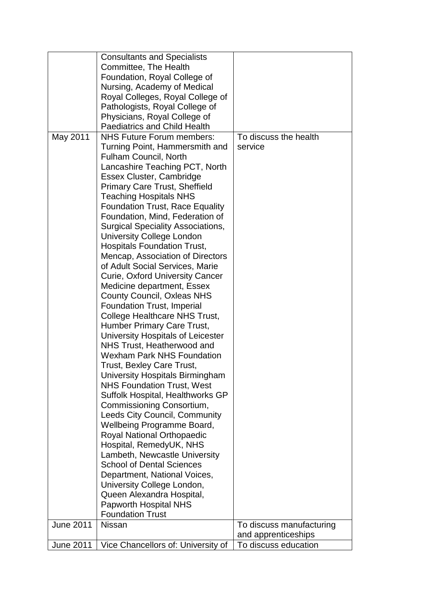|                  | <b>Consultants and Specialists</b>                                     |                          |
|------------------|------------------------------------------------------------------------|--------------------------|
|                  | Committee, The Health                                                  |                          |
|                  | Foundation, Royal College of                                           |                          |
|                  | Nursing, Academy of Medical                                            |                          |
|                  | Royal Colleges, Royal College of                                       |                          |
|                  | Pathologists, Royal College of                                         |                          |
|                  | Physicians, Royal College of                                           |                          |
|                  | <b>Paediatrics and Child Health</b>                                    |                          |
| May 2011         | <b>NHS Future Forum members:</b>                                       | To discuss the health    |
|                  | Turning Point, Hammersmith and                                         | service                  |
|                  | <b>Fulham Council, North</b>                                           |                          |
|                  | Lancashire Teaching PCT, North                                         |                          |
|                  | Essex Cluster, Cambridge                                               |                          |
|                  | <b>Primary Care Trust, Sheffield</b>                                   |                          |
|                  | <b>Teaching Hospitals NHS</b>                                          |                          |
|                  | <b>Foundation Trust, Race Equality</b>                                 |                          |
|                  | Foundation, Mind, Federation of                                        |                          |
|                  | <b>Surgical Speciality Associations,</b>                               |                          |
|                  | <b>University College London</b>                                       |                          |
|                  | <b>Hospitals Foundation Trust,</b>                                     |                          |
|                  | Mencap, Association of Directors                                       |                          |
|                  | of Adult Social Services, Marie                                        |                          |
|                  | <b>Curie, Oxford University Cancer</b>                                 |                          |
|                  |                                                                        |                          |
|                  | Medicine department, Essex                                             |                          |
|                  | <b>County Council, Oxleas NHS</b><br><b>Foundation Trust, Imperial</b> |                          |
|                  |                                                                        |                          |
|                  | College Healthcare NHS Trust,                                          |                          |
|                  | Humber Primary Care Trust,                                             |                          |
|                  | University Hospitals of Leicester<br>NHS Trust, Heatherwood and        |                          |
|                  | <b>Wexham Park NHS Foundation</b>                                      |                          |
|                  |                                                                        |                          |
|                  | Trust, Bexley Care Trust,                                              |                          |
|                  | University Hospitals Birmingham                                        |                          |
|                  | <b>NHS Foundation Trust, West</b>                                      |                          |
|                  | Suffolk Hospital, Healthworks GP                                       |                          |
|                  | Commissioning Consortium,                                              |                          |
|                  | <b>Leeds City Council, Community</b>                                   |                          |
|                  | Wellbeing Programme Board,                                             |                          |
|                  | <b>Royal National Orthopaedic</b>                                      |                          |
|                  | Hospital, RemedyUK, NHS                                                |                          |
|                  | Lambeth, Newcastle University                                          |                          |
|                  | <b>School of Dental Sciences</b>                                       |                          |
|                  | Department, National Voices,                                           |                          |
|                  | University College London,                                             |                          |
|                  | Queen Alexandra Hospital,                                              |                          |
|                  | Papworth Hospital NHS                                                  |                          |
|                  | <b>Foundation Trust</b>                                                |                          |
| <b>June 2011</b> | <b>Nissan</b>                                                          | To discuss manufacturing |
|                  |                                                                        | and apprenticeships      |
| <b>June 2011</b> | Vice Chancellors of: University of                                     | To discuss education     |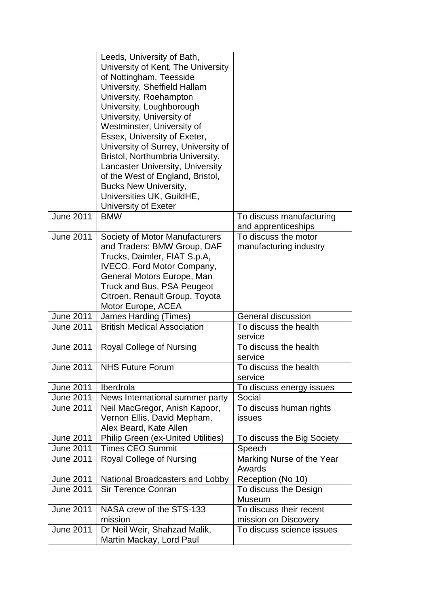|                  | Leeds, University of Bath,                |                                     |
|------------------|-------------------------------------------|-------------------------------------|
|                  | University of Kent, The University        |                                     |
|                  | of Nottingham, Teesside                   |                                     |
|                  | University, Sheffield Hallam              |                                     |
|                  | University, Roehampton                    |                                     |
|                  | University, Loughborough                  |                                     |
|                  | University, University of                 |                                     |
|                  | Westminster, University of                |                                     |
|                  | Essex, University of Exeter,              |                                     |
|                  | University of Surrey, University of       |                                     |
|                  | Bristol, Northumbria University,          |                                     |
|                  | <b>Lancaster University, University</b>   |                                     |
|                  | of the West of England, Bristol,          |                                     |
|                  | <b>Bucks New University,</b>              |                                     |
|                  | Universities UK, GuildHE,                 |                                     |
|                  | University of Exeter                      |                                     |
| <b>June 2011</b> | <b>BMW</b>                                | To discuss manufacturing            |
|                  |                                           | and apprenticeships                 |
| <b>June 2011</b> | Society of Motor Manufacturers            | To discuss the motor                |
|                  | and Traders: BMW Group, DAF               | manufacturing industry              |
|                  | Trucks, Daimler, FIAT S.p.A,              |                                     |
|                  | <b>IVECO, Ford Motor Company,</b>         |                                     |
|                  | General Motors Europe, Man                |                                     |
|                  | Truck and Bus, PSA Peugeot                |                                     |
|                  | Citroen, Renault Group, Toyota            |                                     |
|                  | Motor Europe, ACEA                        |                                     |
| <b>June 2011</b> | James Harding (Times)                     | General discussion                  |
| <b>June 2011</b> | <b>British Medical Association</b>        | To discuss the health<br>service    |
| <b>June 2011</b> | Royal College of Nursing                  | To discuss the health               |
|                  |                                           | service                             |
| <b>June 2011</b> | <b>NHS Future Forum</b>                   | To discuss the health               |
|                  |                                           | service                             |
| <b>June 2011</b> | Iberdrola                                 | To discuss energy issues            |
| <b>June 2011</b> | News International summer party           | Social                              |
| <b>June 2011</b> | Neil MacGregor, Anish Kapoor,             | To discuss human rights             |
|                  | Vernon Ellis, David Mepham,               | <b>issues</b>                       |
|                  | Alex Beard, Kate Allen                    |                                     |
| <b>June 2011</b> | <b>Philip Green (ex-United Utilities)</b> | To discuss the Big Society          |
| <b>June 2011</b> | <b>Times CEO Summit</b>                   | Speech                              |
| <b>June 2011</b> | Royal College of Nursing                  | Marking Nurse of the Year<br>Awards |
| <b>June 2011</b> | National Broadcasters and Lobby           | Reception (No 10)                   |
| <b>June 2011</b> | <b>Sir Terence Conran</b>                 | To discuss the Design               |
|                  |                                           | <b>Museum</b>                       |
| <b>June 2011</b> | NASA crew of the STS-133                  | To discuss their recent             |
|                  | mission                                   | mission on Discovery                |
| <b>June 2011</b> | Dr Neil Weir, Shahzad Malik,              | To discuss science issues           |
|                  | Martin Mackay, Lord Paul                  |                                     |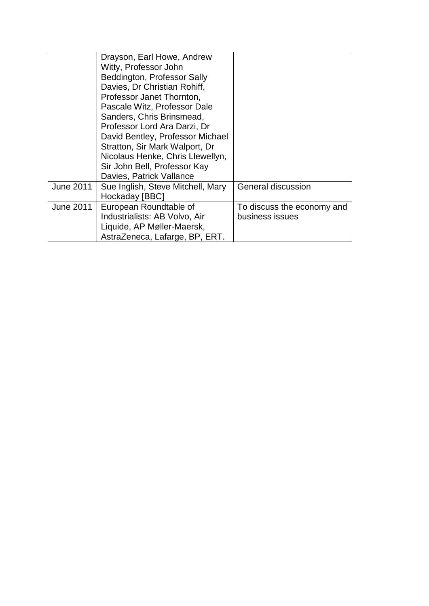|                  | Drayson, Earl Howe, Andrew<br>Witty, Professor John<br>Beddington, Professor Sally<br>Davies, Dr Christian Rohiff,<br>Professor Janet Thornton,<br>Pascale Witz, Professor Dale<br>Sanders, Chris Brinsmead,<br>Professor Lord Ara Darzi, Dr |                            |
|------------------|----------------------------------------------------------------------------------------------------------------------------------------------------------------------------------------------------------------------------------------------|----------------------------|
|                  | David Bentley, Professor Michael                                                                                                                                                                                                             |                            |
|                  | Stratton, Sir Mark Walport, Dr<br>Nicolaus Henke, Chris Llewellyn,                                                                                                                                                                           |                            |
|                  | Sir John Bell, Professor Kay                                                                                                                                                                                                                 |                            |
|                  | Davies, Patrick Vallance                                                                                                                                                                                                                     |                            |
| <b>June 2011</b> | Sue Inglish, Steve Mitchell, Mary                                                                                                                                                                                                            | General discussion         |
|                  | Hockaday [BBC]                                                                                                                                                                                                                               |                            |
| <b>June 2011</b> | European Roundtable of                                                                                                                                                                                                                       | To discuss the economy and |
|                  | Industrialists: AB Volvo, Air                                                                                                                                                                                                                | business issues            |
|                  | Liquide, AP Møller-Maersk,                                                                                                                                                                                                                   |                            |
|                  | AstraZeneca, Lafarge, BP, ERT.                                                                                                                                                                                                               |                            |